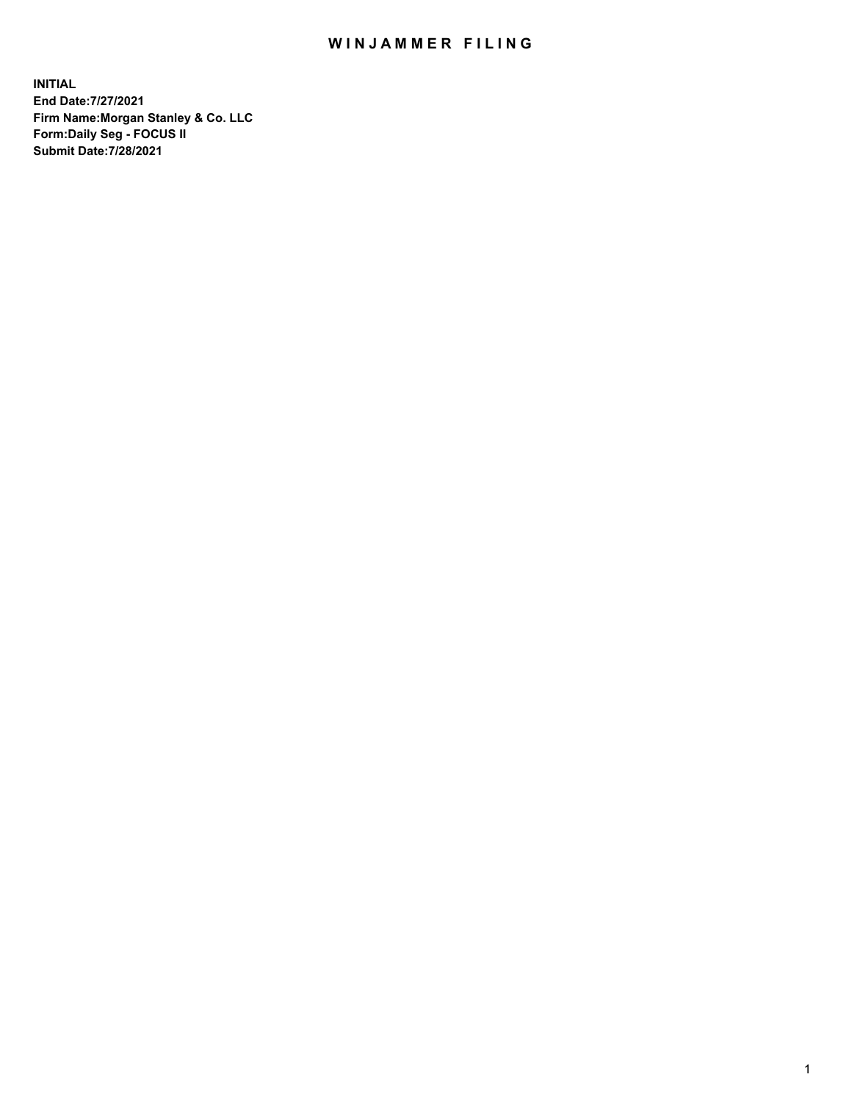## WIN JAMMER FILING

**INITIAL End Date:7/27/2021 Firm Name:Morgan Stanley & Co. LLC Form:Daily Seg - FOCUS II Submit Date:7/28/2021**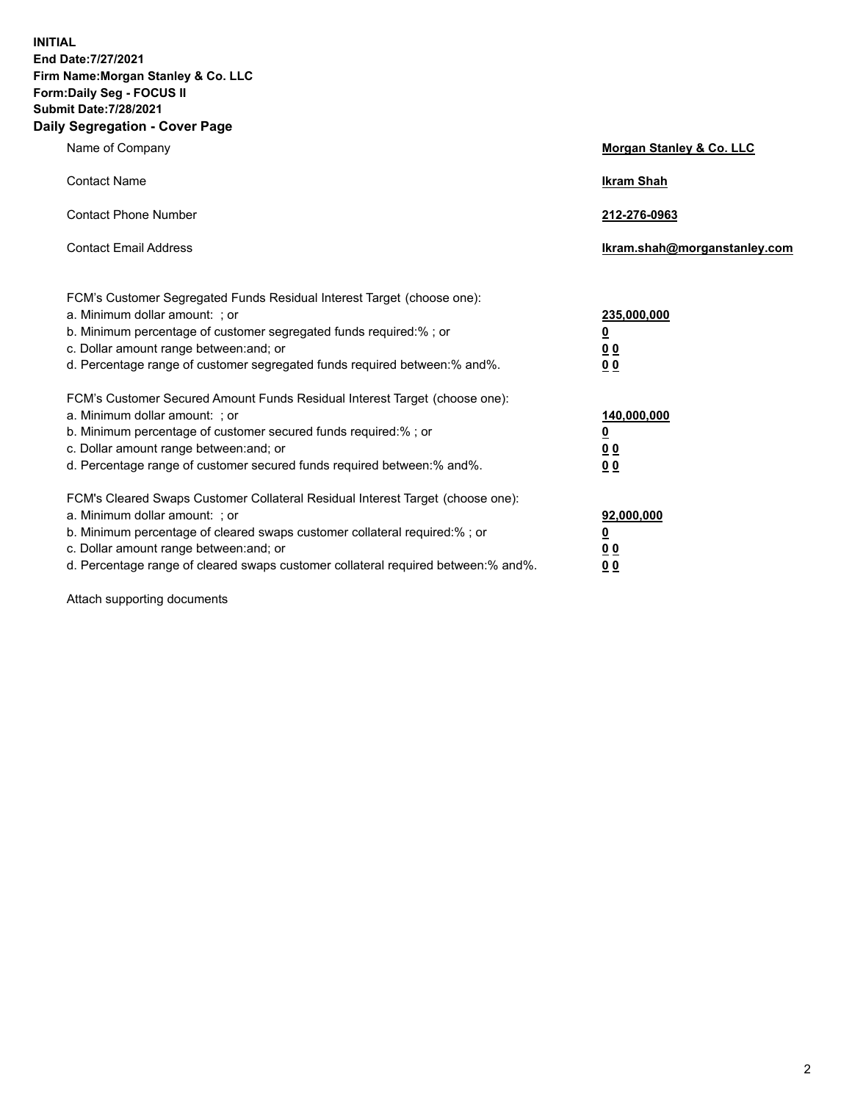**INITIAL End Date:7/27/2021 Firm Name:Morgan Stanley & Co. LLC Form:Daily Seg - FOCUS II Submit Date:7/28/2021 Daily Segregation - Cover Page**

| Name of Company                                                                                                                                                                                                                                                                                                                | Morgan Stanley & Co. LLC                                    |
|--------------------------------------------------------------------------------------------------------------------------------------------------------------------------------------------------------------------------------------------------------------------------------------------------------------------------------|-------------------------------------------------------------|
| <b>Contact Name</b>                                                                                                                                                                                                                                                                                                            | <b>Ikram Shah</b>                                           |
| <b>Contact Phone Number</b>                                                                                                                                                                                                                                                                                                    | 212-276-0963                                                |
| <b>Contact Email Address</b>                                                                                                                                                                                                                                                                                                   | lkram.shah@morganstanley.com                                |
| FCM's Customer Segregated Funds Residual Interest Target (choose one):<br>a. Minimum dollar amount: ; or<br>b. Minimum percentage of customer segregated funds required:% ; or<br>c. Dollar amount range between: and; or<br>d. Percentage range of customer segregated funds required between:% and%.                         | 235,000,000<br><u>0</u><br>0 <sup>0</sup><br>00             |
| FCM's Customer Secured Amount Funds Residual Interest Target (choose one):<br>a. Minimum dollar amount: : or<br>b. Minimum percentage of customer secured funds required:%; or<br>c. Dollar amount range between: and; or<br>d. Percentage range of customer secured funds required between: % and %.                          | 140,000,000<br><u>0</u><br>0 <sub>0</sub><br>0 <sub>0</sub> |
| FCM's Cleared Swaps Customer Collateral Residual Interest Target (choose one):<br>a. Minimum dollar amount: ; or<br>b. Minimum percentage of cleared swaps customer collateral required:% ; or<br>c. Dollar amount range between: and; or<br>d. Percentage range of cleared swaps customer collateral required between:% and%. | 92,000,000<br><u>0</u><br><u>00</u><br>00                   |

Attach supporting documents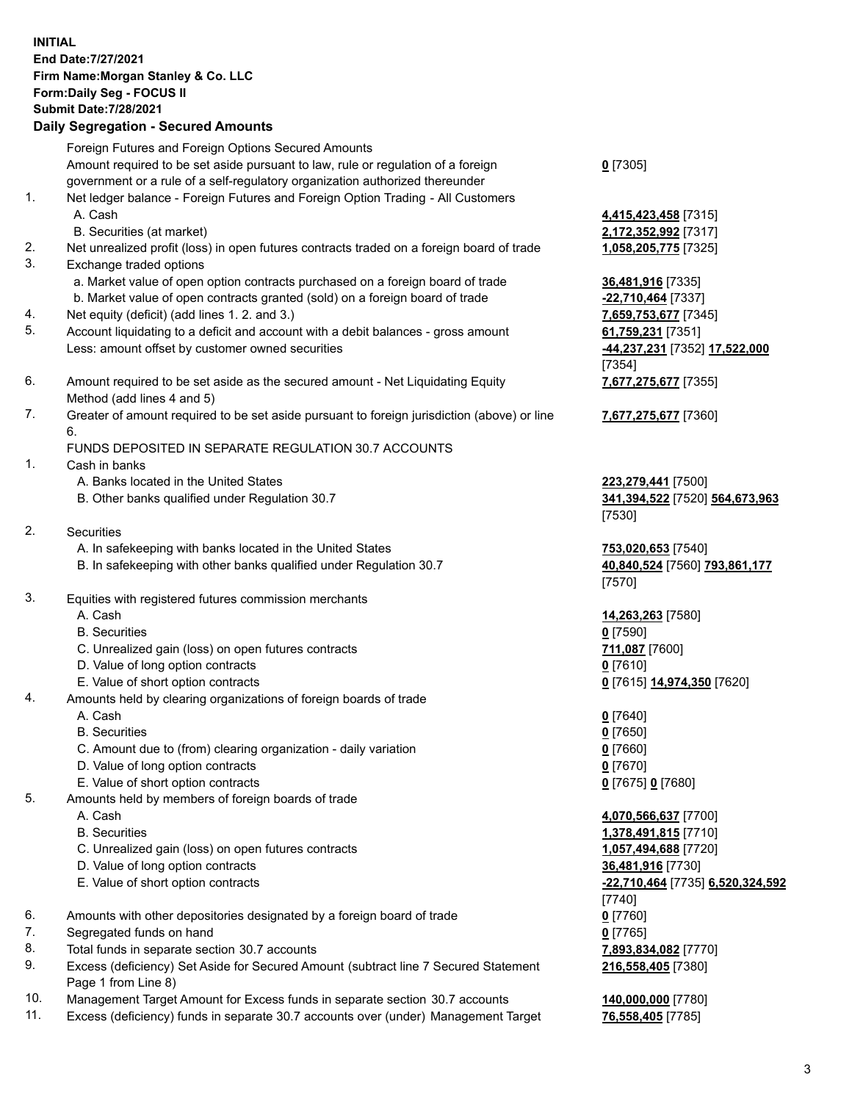## **INITIAL End Date:7/27/2021 Firm Name:Morgan Stanley & Co. LLC Form:Daily Seg - FOCUS II Submit Date:7/28/2021 Daily Segregation - Secured Amounts**

Foreign Futures and Foreign Options Secured Amounts Amount required to be set aside pursuant to law, rule or regulation of a foreign government or a rule of a self-regulatory organization authorized thereunder 1. Net ledger balance - Foreign Futures and Foreign Option Trading - All Customers A. Cash **4,415,423,458** [7315] B. Securities (at market) **2,172,352,992** [7317] 2. Net unrealized profit (loss) in open futures contracts traded on a foreign board of trade **1,058,205,775** [7325] 3. Exchange traded options a. Market value of open option contracts purchased on a foreign board of trade **36,481,916** [7335] b. Market value of open contracts granted (sold) on a foreign board of trade **-22,710,464** [7337] 4. Net equity (deficit) (add lines 1. 2. and 3.) **7,659,753,677** [7345] 5. Account liquidating to a deficit and account with a debit balances - gross amount **61,759,231** [7351] Less: amount offset by customer owned securities **-44,237,231** [7352] **17,522,000** 6. Amount required to be set aside as the secured amount - Net Liquidating Equity Method (add lines 4 and 5) 7. Greater of amount required to be set aside pursuant to foreign jurisdiction (above) or line

6.

## FUNDS DEPOSITED IN SEPARATE REGULATION 30.7 ACCOUNTS

- 1. Cash in banks
	- A. Banks located in the United States **223,279,441** [7500]
	- B. Other banks qualified under Regulation 30.7 **341,394,522** [7520] **564,673,963**
- 2. Securities
	- A. In safekeeping with banks located in the United States **753,020,653** [7540]
	- B. In safekeeping with other banks qualified under Regulation 30.7 **40,840,524** [7560] **793,861,177**
- 3. Equities with registered futures commission merchants
	-
	- B. Securities **0** [7590]
	- C. Unrealized gain (loss) on open futures contracts **711,087** [7600]
	- D. Value of long option contracts **0** [7610]
	- E. Value of short option contracts **0** [7615] **14,974,350** [7620]
- 4. Amounts held by clearing organizations of foreign boards of trade
	- A. Cash **0** [7640]
	- B. Securities **0** [7650]
	- C. Amount due to (from) clearing organization daily variation **0** [7660]
	- D. Value of long option contracts **0** [7670]
	- E. Value of short option contracts **0** [7675] **0** [7680]
- 5. Amounts held by members of foreign boards of trade
	-
	-
	- C. Unrealized gain (loss) on open futures contracts **1,057,494,688** [7720]
	- D. Value of long option contracts **36,481,916** [7730]
	- E. Value of short option contracts **-22,710,464** [7735] **6,520,324,592**
- 6. Amounts with other depositories designated by a foreign board of trade **0** [7760]
- 7. Segregated funds on hand **0** [7765]
- 8. Total funds in separate section 30.7 accounts **7,893,834,082** [7770]
- 9. Excess (deficiency) Set Aside for Secured Amount (subtract line 7 Secured Statement Page 1 from Line 8)
- 10. Management Target Amount for Excess funds in separate section 30.7 accounts **140,000,000** [7780]
- 11. Excess (deficiency) funds in separate 30.7 accounts over (under) Management Target **76,558,405** [7785]

**0** [7305]

[7354] **7,677,275,677** [7355]

**7,677,275,677** [7360]

[7530]

[7570]

A. Cash **14,263,263** [7580]

 A. Cash **4,070,566,637** [7700] B. Securities **1,378,491,815** [7710] [7740] **216,558,405** [7380]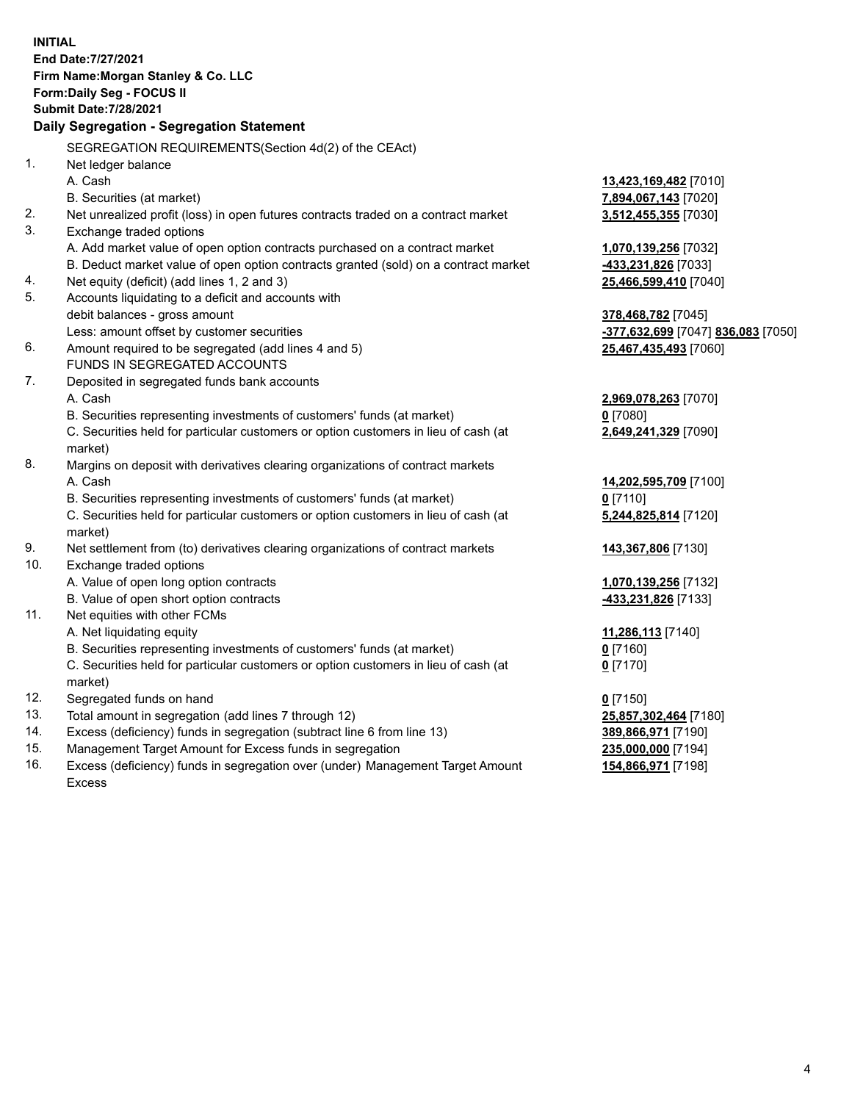**INITIAL End Date:7/27/2021 Firm Name:Morgan Stanley & Co. LLC Form:Daily Seg - FOCUS II Submit Date:7/28/2021 Daily Segregation - Segregation Statement** SEGREGATION REQUIREMENTS(Section 4d(2) of the CEAct) 1. Net ledger balance A. Cash **13,423,169,482** [7010] B. Securities (at market) **7,894,067,143** [7020] 2. Net unrealized profit (loss) in open futures contracts traded on a contract market **3,512,455,355** [7030] 3. Exchange traded options A. Add market value of open option contracts purchased on a contract market **1,070,139,256** [7032] B. Deduct market value of open option contracts granted (sold) on a contract market **-433,231,826** [7033] 4. Net equity (deficit) (add lines 1, 2 and 3) **25,466,599,410** [7040] 5. Accounts liquidating to a deficit and accounts with debit balances - gross amount **378,468,782** [7045] Less: amount offset by customer securities **-377,632,699** [7047] **836,083** [7050] 6. Amount required to be segregated (add lines 4 and 5) **25,467,435,493** [7060] FUNDS IN SEGREGATED ACCOUNTS 7. Deposited in segregated funds bank accounts A. Cash **2,969,078,263** [7070] B. Securities representing investments of customers' funds (at market) **0** [7080] C. Securities held for particular customers or option customers in lieu of cash (at market) **2,649,241,329** [7090] 8. Margins on deposit with derivatives clearing organizations of contract markets A. Cash **14,202,595,709** [7100] B. Securities representing investments of customers' funds (at market) **0** [7110] C. Securities held for particular customers or option customers in lieu of cash (at market) **5,244,825,814** [7120] 9. Net settlement from (to) derivatives clearing organizations of contract markets **143,367,806** [7130] 10. Exchange traded options A. Value of open long option contracts **1,070,139,256** [7132] B. Value of open short option contracts **-433,231,826** [7133] 11. Net equities with other FCMs A. Net liquidating equity **11,286,113** [7140] B. Securities representing investments of customers' funds (at market) **0** [7160] C. Securities held for particular customers or option customers in lieu of cash (at market) **0** [7170] 12. Segregated funds on hand **0** [7150] 13. Total amount in segregation (add lines 7 through 12) **25,857,302,464** [7180] 14. Excess (deficiency) funds in segregation (subtract line 6 from line 13) **389,866,971** [7190] 15. Management Target Amount for Excess funds in segregation **235,000,000** [7194] **154,866,971** [7198]

16. Excess (deficiency) funds in segregation over (under) Management Target Amount Excess